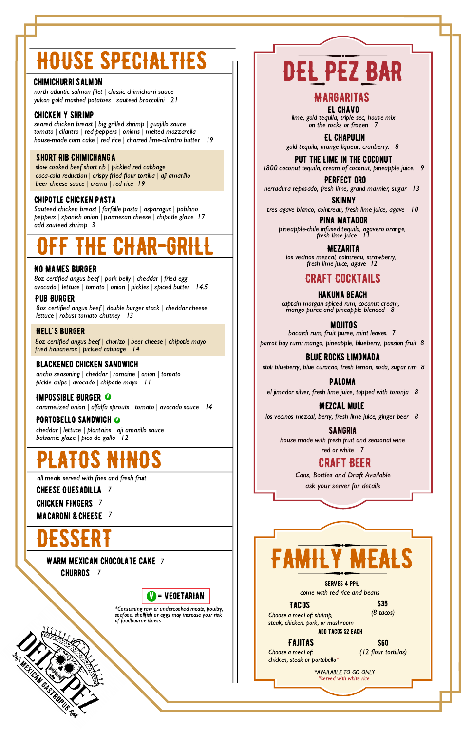



sangria house made with fresh fruit and seasonal wine red or white 7

# DEL PEZ BAR

# Craft Beer

Cans, Bottles and Draft Available ask your server for details

#### WARM MEXICAN CHOCOLATE CAKE 7

**CHURROS** 7

Fajitas

**ADD TACOS \$2 EACH** Choose a meal of: shrimp, steak, chicken, pork, or mushroom

Choose a meal of: chicken, steak or portobello\*

#### \$60

seared chicken breast | big grilled shrimp | guajillo sauce tomato | cilantro | red peppers | onions | melted mozzarella house-made corn cake | red rice | charred lime-cilantro butter 19

(12 flour tortillas)

\*AVAILABLE TO GO ONLY \*served with white rice

come with red rice and beans

#### Serves 4 PPL

#### Tacos

#### \$35 (8 tacos)

#### Short Rib Chimichanga

#### blackened Chicken Sandwich

# HOUSE SPECIALTIES

#### Chicken Y Shrimp

8oz certified angus beef | double burger stack | cheddar cheese lettuce | robust tomato chutney | 3

slow cooked beef short rib | pickled red cabbage coca-cola reduction | crispy fried flour tortilla | aji amarillo beer cheese sauce | crema | red rice 19

#### Chipotle Chicken Pasta

Sauteed chicken breast | farfalle pasta | asparagus | poblano peppers | spanish onion | parmesan cheese | chipotle glaze 17 add sauteed shrimp 3

Put the Lime in the coconut 1800 coconut tequila, cream of coconut, pineapple juice. 9

# OFF THE CHAR-GRILL

#### No Mames Burger

Pina matador pineapple-chile infused tequila, agavero orange, fresh lime juice II

8oz certified angus beef | pork belly | cheddar | fried egg avocado | lettuce | tomato | onion | pickles | spiced butter 14.5

#### Pub Burger

8oz certified angus beef | chorizo | beer cheese | chipotle mayo fried habaneros | pickled cabbage 14

#### Hell's Burger

ancho seasoning | cheddar | romaine | onion | tomato pickle chips | avocado | chipotle mayo 11

### **IMPOSSIBLE BURGER ©**

caramelized onion | alfalfa sprouts | tomato | avocado sauce 14

### PORTOBELLO SANDWICH **O**

\*Consuming raw or undercooked meats, poultry, seafood, shellfish or eggs may increase your risk of foodbourne illness

# PLATOS NINOS

cheddar | lettuce | plantains | aji amarillo sauce balsamic glaze | pico de gallo 12

all meals served with fries and fresh fruit

**CHEESE QUESADILLA** 7

CHICKEN FINGERS 7

**MACARONI & CHEESE**  $7$ 

# **DESSERT**

# MargaritaS

El Chavo lime, gold tequila, triple sec, house mix on the rocks or frozen 7

El Chapulin gold tequila, orange liqueur, cranberry. 8

Perfect oro herradura reposado, fresh lime, grand marnier, sugar 13

skinny tres agave blanco, cointreau, fresh lime juice, agave 10

> Mezarita los vecinos mezcal, cointreau, strawberry, fresh lime juice, agave 12

# Craft CocktailS

#### hakuna beach

captain morgan spiced rum, coconut cream, mango puree and pineapple blended 8

mojitos

bacardi rum, fruit puree, mint leaves. 7

parrot bay rum: mango, pineapple, blueberry, passion fruit 8

Blue Rocks Limonada stoli blueberry, blue curacao, fresh lemon, soda, sugar rim 8

paloma el jimador silver, fresh lime juice, topped with toronja 8

Mezcal mule los vecinos mezcal, berry, fresh lime juice, ginger beer 8

#### chimichurri salmon

north atlantic salmon filet | classic chimichurri sauce yukon gold mashed potatoes | sauteed broccolini 21